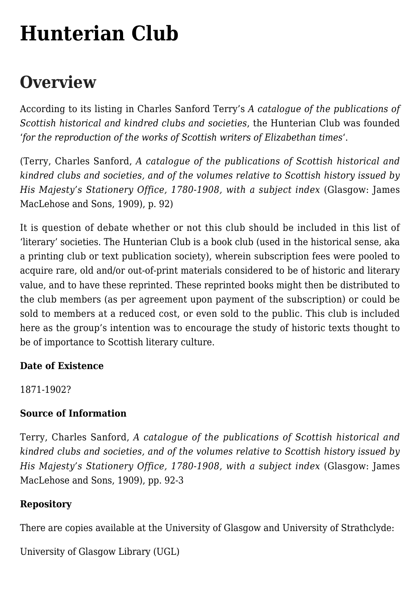# **[Hunterian Club](https://www.glasgowsliterarybonds.org/societies/hunterian-club/)**

# **Overview**

According to its listing in Charles Sanford Terry's *A catalogue of the publications of Scottish historical and kindred clubs and societies*, the Hunterian Club was founded '*for the reproduction of the works of Scottish writers of Elizabethan times*'.

(Terry, Charles Sanford, *A catalogue of the publications of Scottish historical and kindred clubs and societies, and of the volumes relative to Scottish history issued by His Majesty's Stationery Office, 1780-1908, with a subject index* (Glasgow: James MacLehose and Sons, 1909), p. 92)

It is question of debate whether or not this club should be included in this list of 'literary' societies. The Hunterian Club is a book club (used in the historical sense, aka a printing club or text publication society), wherein subscription fees were pooled to acquire rare, old and/or out-of-print materials considered to be of historic and literary value, and to have these reprinted. These reprinted books might then be distributed to the club members (as per agreement upon payment of the subscription) or could be sold to members at a reduced cost, or even sold to the public. This club is included here as the group's intention was to encourage the study of historic texts thought to be of importance to Scottish literary culture.

## **Date of Existence**

1871-1902?

#### **Source of Information**

Terry, Charles Sanford, *A catalogue of the publications of Scottish historical and kindred clubs and societies, and of the volumes relative to Scottish history issued by His Majesty's Stationery Office, 1780-1908, with a subject index* (Glasgow: James MacLehose and Sons, 1909), pp. 92-3

## **Repository**

There are copies available at the University of Glasgow and University of Strathclyde:

University of Glasgow Library (UGL)